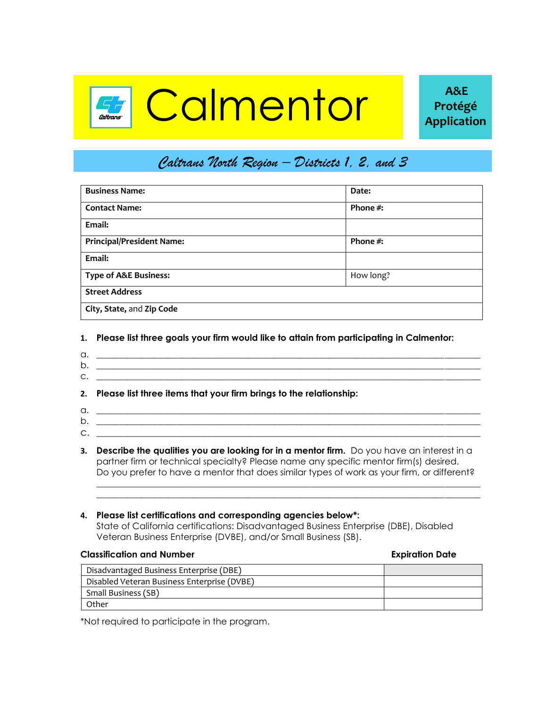# **Calmentor A** Protégé

## *Caltrans North Region – Districts 1, 2, and 3*

| <b>Business Name:</b>            | Date:       |  |  |  |
|----------------------------------|-------------|--|--|--|
| <b>Contact Name:</b>             | Phone $#$ : |  |  |  |
| Email:                           |             |  |  |  |
| <b>Principal/President Name:</b> | Phone $#$ : |  |  |  |
| Email:                           |             |  |  |  |
| <b>Type of A&amp;E Business:</b> | How long?   |  |  |  |
| <b>Street Address</b>            |             |  |  |  |
| City, State, and Zip Code        |             |  |  |  |

### **1. Please list three goals your firm would like to attain from participating in Calmentor:**

- $a.$   $\overline{\phantom{a}}$
- $b.$  $c.$   $\Box$

### **2. Please list three items that your firm brings to the relationship:**

- a. \_\_\_\_\_\_\_\_\_\_\_\_\_\_\_\_\_\_\_\_\_\_\_\_\_\_\_\_\_\_\_\_\_\_\_\_\_\_\_\_\_\_\_\_\_\_\_\_\_\_\_\_\_\_\_\_\_\_\_\_\_\_\_\_\_\_\_\_\_\_\_\_\_\_\_\_\_\_\_\_\_\_\_\_\_\_ b.  $\Box$
- c. \_\_\_\_\_\_\_\_\_\_\_\_\_\_\_\_\_\_\_\_\_\_\_\_\_\_\_\_\_\_\_\_\_\_\_\_\_\_\_\_\_\_\_\_\_\_\_\_\_\_\_\_\_\_\_\_\_\_\_\_\_\_\_\_\_\_\_\_\_\_\_\_\_\_\_\_\_\_\_\_\_\_\_\_\_\_
- **3. Describe the qualities you are looking for in a mentor firm.** Do you have an interest in a partner firm or technical specialty? Please name any specific mentor firm(s) desired. Do you prefer to have a mentor that does similar types of work as your firm, or different?

 $\mathcal{L}_\text{max}$  , and the set of the set of the set of the set of the set of the set of the set of the set of the set of the set of the set of the set of the set of the set of the set of the set of the set of the set of the

### **4. Please list certifications and corresponding agencies below\*:**

State of California certifications: Disadvantaged Business Enterprise (DBE), Disabled Veteran Business Enterprise (DVBE), and/or Small Business (SB).

### **Classification and Number Expiration Date**

| Disadvantaged Business Enterprise (DBE)     |  |
|---------------------------------------------|--|
| Disabled Veteran Business Enterprise (DVBE) |  |
| Small Business (SB)                         |  |
| Other                                       |  |

\*Not required to participate in the program.